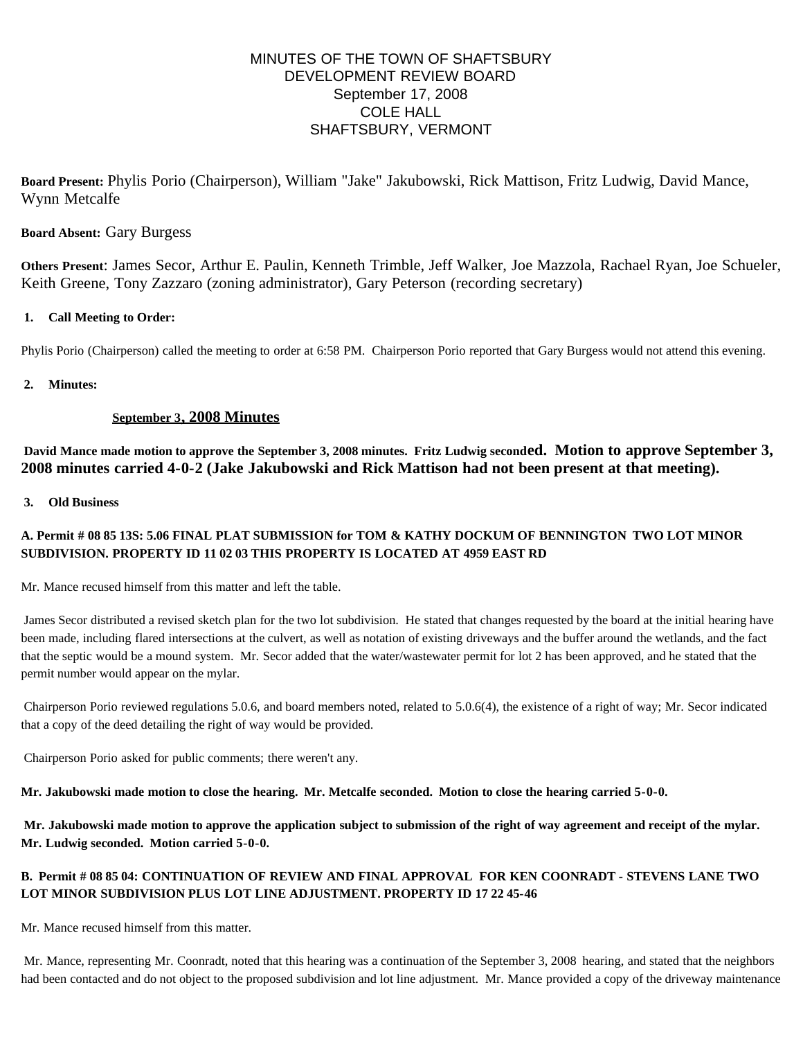# MINUTES OF THE TOWN OF SHAFTSBURY DEVELOPMENT REVIEW BOARD September 17, 2008 COLE HALL SHAFTSBURY, VERMONT

**Board Present:** Phylis Porio (Chairperson), William "Jake" Jakubowski, Rick Mattison, Fritz Ludwig, David Mance, Wynn Metcalfe

## **Board Absent:** Gary Burgess

**Others Present**: James Secor, Arthur E. Paulin, Kenneth Trimble, Jeff Walker, Joe Mazzola, Rachael Ryan, Joe Schueler, Keith Greene, Tony Zazzaro (zoning administrator), Gary Peterson (recording secretary)

### **1. Call Meeting to Order:**

Phylis Porio (Chairperson) called the meeting to order at 6:58 PM. Chairperson Porio reported that Gary Burgess would not attend this evening.

### **2. Minutes:**

## **September 3, 2008 Minutes**

**David Mance made motion to approve the September 3, 2008 minutes. Fritz Ludwig seconded. Motion to approve September 3, 2008 minutes carried 4-0-2 (Jake Jakubowski and Rick Mattison had not been present at that meeting).**

### **3. Old Business**

# **A. Permit # 08 85 13S: 5.06 FINAL PLAT SUBMISSION for TOM & KATHY DOCKUM OF BENNINGTON TWO LOT MINOR SUBDIVISION. PROPERTY ID 11 02 03 THIS PROPERTY IS LOCATED AT 4959 EAST RD**

Mr. Mance recused himself from this matter and left the table.

James Secor distributed a revised sketch plan for the two lot subdivision. He stated that changes requested by the board at the initial hearing have been made, including flared intersections at the culvert, as well as notation of existing driveways and the buffer around the wetlands, and the fact that the septic would be a mound system. Mr. Secor added that the water/wastewater permit for lot 2 has been approved, and he stated that the permit number would appear on the mylar.

Chairperson Porio reviewed regulations 5.0.6, and board members noted, related to 5.0.6(4), the existence of a right of way; Mr. Secor indicated that a copy of the deed detailing the right of way would be provided.

Chairperson Porio asked for public comments; there weren't any.

**Mr. Jakubowski made motion to close the hearing. Mr. Metcalfe seconded. Motion to close the hearing carried 5-0-0.**

**Mr. Jakubowski made motion to approve the application subject to submission of the right of way agreement and receipt of the mylar. Mr. Ludwig seconded. Motion carried 5-0-0.**

# **B. Permit # 08 85 04: CONTINUATION OF REVIEW AND FINAL APPROVAL FOR KEN COONRADT - STEVENS LANE TWO LOT MINOR SUBDIVISION PLUS LOT LINE ADJUSTMENT. PROPERTY ID 17 22 45-46**

Mr. Mance recused himself from this matter.

Mr. Mance, representing Mr. Coonradt, noted that this hearing was a continuation of the September 3, 2008 hearing, and stated that the neighbors had been contacted and do not object to the proposed subdivision and lot line adjustment. Mr. Mance provided a copy of the driveway maintenance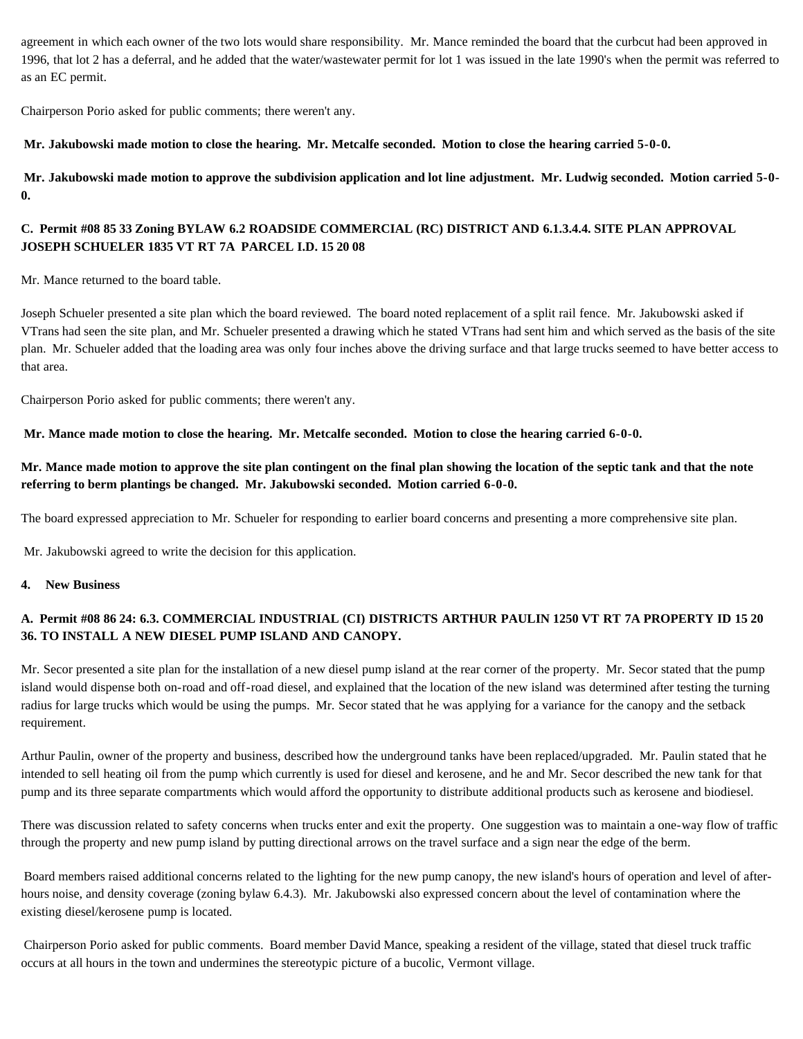agreement in which each owner of the two lots would share responsibility. Mr. Mance reminded the board that the curbcut had been approved in 1996, that lot 2 has a deferral, and he added that the water/wastewater permit for lot 1 was issued in the late 1990's when the permit was referred to as an EC permit.

Chairperson Porio asked for public comments; there weren't any.

**Mr. Jakubowski made motion to close the hearing. Mr. Metcalfe seconded. Motion to close the hearing carried 5-0-0.**

**Mr. Jakubowski made motion to approve the subdivision application and lot line adjustment. Mr. Ludwig seconded. Motion carried 5-0- 0.**

## **C. Permit #08 85 33 Zoning BYLAW 6.2 ROADSIDE COMMERCIAL (RC) DISTRICT AND 6.1.3.4.4. SITE PLAN APPROVAL JOSEPH SCHUELER 1835 VT RT 7A PARCEL I.D. 15 20 08**

Mr. Mance returned to the board table.

Joseph Schueler presented a site plan which the board reviewed. The board noted replacement of a split rail fence. Mr. Jakubowski asked if VTrans had seen the site plan, and Mr. Schueler presented a drawing which he stated VTrans had sent him and which served as the basis of the site plan. Mr. Schueler added that the loading area was only four inches above the driving surface and that large trucks seemed to have better access to that area.

Chairperson Porio asked for public comments; there weren't any.

**Mr. Mance made motion to close the hearing. Mr. Metcalfe seconded. Motion to close the hearing carried 6-0-0.**

## **Mr. Mance made motion to approve the site plan contingent on the final plan showing the location of the septic tank and that the note referring to berm plantings be changed. Mr. Jakubowski seconded. Motion carried 6-0-0.**

The board expressed appreciation to Mr. Schueler for responding to earlier board concerns and presenting a more comprehensive site plan.

Mr. Jakubowski agreed to write the decision for this application.

**4. New Business**

# **A. Permit #08 86 24: 6.3. COMMERCIAL INDUSTRIAL (CI) DISTRICTS ARTHUR PAULIN 1250 VT RT 7A PROPERTY ID 15 20 36. TO INSTALL A NEW DIESEL PUMP ISLAND AND CANOPY.**

Mr. Secor presented a site plan for the installation of a new diesel pump island at the rear corner of the property. Mr. Secor stated that the pump island would dispense both on-road and off-road diesel, and explained that the location of the new island was determined after testing the turning radius for large trucks which would be using the pumps. Mr. Secor stated that he was applying for a variance for the canopy and the setback requirement.

Arthur Paulin, owner of the property and business, described how the underground tanks have been replaced/upgraded. Mr. Paulin stated that he intended to sell heating oil from the pump which currently is used for diesel and kerosene, and he and Mr. Secor described the new tank for that pump and its three separate compartments which would afford the opportunity to distribute additional products such as kerosene and biodiesel.

There was discussion related to safety concerns when trucks enter and exit the property. One suggestion was to maintain a one-way flow of traffic through the property and new pump island by putting directional arrows on the travel surface and a sign near the edge of the berm.

Board members raised additional concerns related to the lighting for the new pump canopy, the new island's hours of operation and level of afterhours noise, and density coverage (zoning bylaw 6.4.3). Mr. Jakubowski also expressed concern about the level of contamination where the existing diesel/kerosene pump is located.

Chairperson Porio asked for public comments. Board member David Mance, speaking a resident of the village, stated that diesel truck traffic occurs at all hours in the town and undermines the stereotypic picture of a bucolic, Vermont village.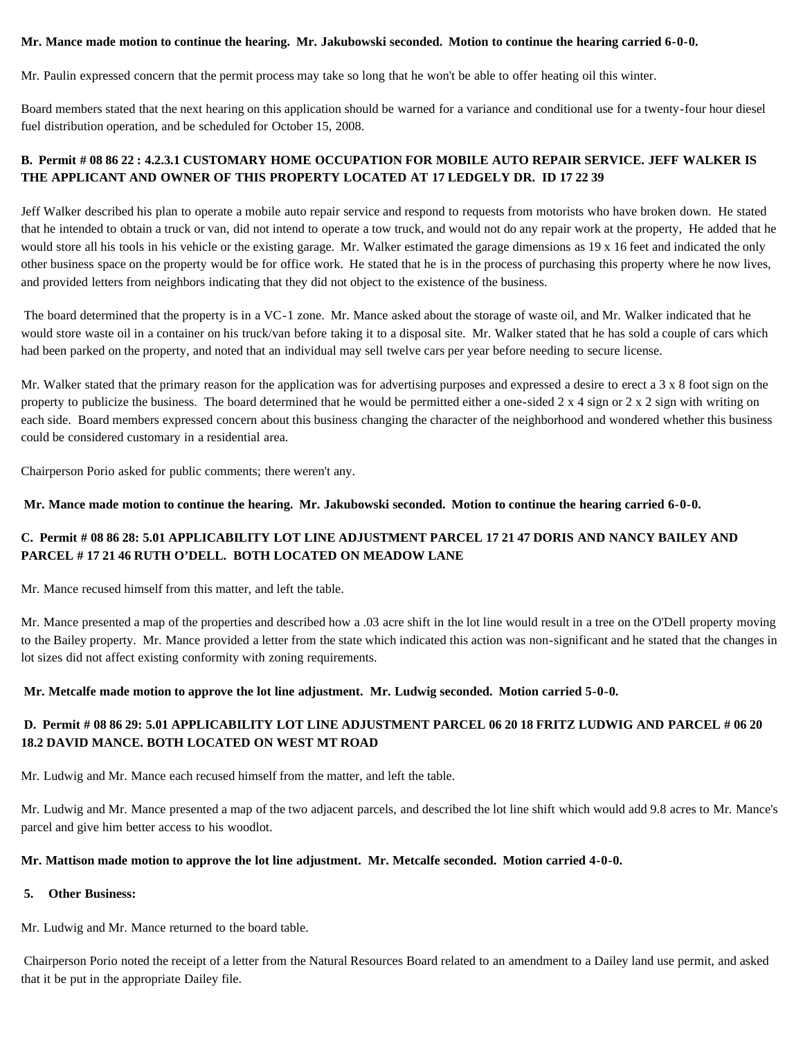#### **Mr. Mance made motion to continue the hearing. Mr. Jakubowski seconded. Motion to continue the hearing carried 6-0-0.**

Mr. Paulin expressed concern that the permit process may take so long that he won't be able to offer heating oil this winter.

Board members stated that the next hearing on this application should be warned for a variance and conditional use for a twenty-four hour diesel fuel distribution operation, and be scheduled for October 15, 2008.

## **B. Permit # 08 86 22 : 4.2.3.1 CUSTOMARY HOME OCCUPATION FOR MOBILE AUTO REPAIR SERVICE. JEFF WALKER IS THE APPLICANT AND OWNER OF THIS PROPERTY LOCATED AT 17 LEDGELY DR. ID 17 22 39**

Jeff Walker described his plan to operate a mobile auto repair service and respond to requests from motorists who have broken down. He stated that he intended to obtain a truck or van, did not intend to operate a tow truck, and would not do any repair work at the property, He added that he would store all his tools in his vehicle or the existing garage. Mr. Walker estimated the garage dimensions as 19 x 16 feet and indicated the only other business space on the property would be for office work. He stated that he is in the process of purchasing this property where he now lives, and provided letters from neighbors indicating that they did not object to the existence of the business.

The board determined that the property is in a VC-1 zone. Mr. Mance asked about the storage of waste oil, and Mr. Walker indicated that he would store waste oil in a container on his truck/van before taking it to a disposal site. Mr. Walker stated that he has sold a couple of cars which had been parked on the property, and noted that an individual may sell twelve cars per year before needing to secure license.

Mr. Walker stated that the primary reason for the application was for advertising purposes and expressed a desire to erect a 3 x 8 foot sign on the property to publicize the business. The board determined that he would be permitted either a one-sided  $2 \times 4$  sign or  $2 \times 2$  sign with writing on each side. Board members expressed concern about this business changing the character of the neighborhood and wondered whether this business could be considered customary in a residential area.

Chairperson Porio asked for public comments; there weren't any.

#### **Mr. Mance made motion to continue the hearing. Mr. Jakubowski seconded. Motion to continue the hearing carried 6-0-0.**

# **C. Permit # 08 86 28: 5.01 APPLICABILITY LOT LINE ADJUSTMENT PARCEL 17 21 47 DORIS AND NANCY BAILEY AND PARCEL # 17 21 46 RUTH O'DELL. BOTH LOCATED ON MEADOW LANE**

Mr. Mance recused himself from this matter, and left the table.

Mr. Mance presented a map of the properties and described how a .03 acre shift in the lot line would result in a tree on the O'Dell property moving to the Bailey property. Mr. Mance provided a letter from the state which indicated this action was non-significant and he stated that the changes in lot sizes did not affect existing conformity with zoning requirements.

#### **Mr. Metcalfe made motion to approve the lot line adjustment. Mr. Ludwig seconded. Motion carried 5-0-0.**

## **D. Permit # 08 86 29: 5.01 APPLICABILITY LOT LINE ADJUSTMENT PARCEL 06 20 18 FRITZ LUDWIG AND PARCEL # 06 20 18.2 DAVID MANCE. BOTH LOCATED ON WEST MT ROAD**

Mr. Ludwig and Mr. Mance each recused himself from the matter, and left the table.

Mr. Ludwig and Mr. Mance presented a map of the two adjacent parcels, and described the lot line shift which would add 9.8 acres to Mr. Mance's parcel and give him better access to his woodlot.

#### **Mr. Mattison made motion to approve the lot line adjustment. Mr. Metcalfe seconded. Motion carried 4-0-0.**

#### **5. Other Business:**

Mr. Ludwig and Mr. Mance returned to the board table.

Chairperson Porio noted the receipt of a letter from the Natural Resources Board related to an amendment to a Dailey land use permit, and asked that it be put in the appropriate Dailey file.